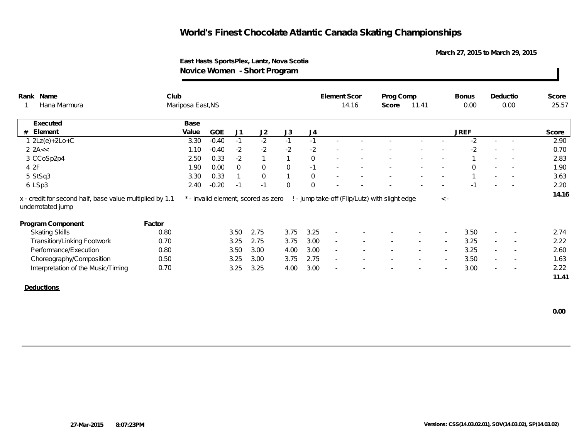**March 27, 2015 to March 29, 2015**

### **East Hasts SportsPlex, Lantz, Nova Scotia Novice Women - Short Program**

| Rank Name                                                                     | Club   |                   |            |                |                                     |                |                | Element Scor             |       | Prog Comp                                      |       |             | <b>Bonus</b> |        | Deductio                 | Score |
|-------------------------------------------------------------------------------|--------|-------------------|------------|----------------|-------------------------------------|----------------|----------------|--------------------------|-------|------------------------------------------------|-------|-------------|--------------|--------|--------------------------|-------|
| Hana Marmura                                                                  |        | Mariposa East, NS |            |                |                                     |                |                |                          | 14.16 | Score                                          | 11.41 |             | 0.00         |        | 0.00                     | 25.57 |
| Executed                                                                      |        | Base              |            |                |                                     |                |                |                          |       |                                                |       |             |              |        |                          |       |
| Element<br>#                                                                  |        | Value             | <b>GOE</b> | J <sub>1</sub> | J2                                  | J3             | J <sub>4</sub> |                          |       |                                                |       |             | <b>JREF</b>  |        |                          | Score |
| $2Lz(e)+2Lo+C$                                                                |        | 3.30              | $-0.40$    | $-1$           | $-2$                                | $-1$           | $-1$           |                          |       |                                                |       |             | $-2$         | $\sim$ |                          | 2.90  |
| 2 2 $A<<$                                                                     |        | 1.10              | $-0.40$    | $-2$           | $-2$                                | $-2$           | $-2$           |                          |       |                                                |       |             | $-2$         |        |                          | 0.70  |
| 3 CCoSp2p4                                                                    |        | 2.50              | 0.33       | $-2$           | $\mathbf{1}$                        |                | $\overline{0}$ | $\overline{\phantom{a}}$ |       |                                                |       |             |              |        |                          | 2.83  |
| 4 2F                                                                          |        | 1.90              | 0.00       | $\overline{0}$ | $\Omega$                            | $\mathbf 0$    | $-1$           | $\sim$                   |       |                                                |       |             | $\Omega$     |        | $\sim$                   | 1.90  |
| 5 StSq3                                                                       |        | 3.30              | 0.33       |                | $\Omega$                            | $\overline{1}$ | $\mathbf 0$    |                          |       |                                                |       |             |              |        |                          | 3.63  |
|                                                                               |        |                   |            |                |                                     |                |                |                          |       |                                                |       |             |              |        |                          |       |
| 6 LSp3                                                                        |        | 2.40              | $-0.20$    | $-1$           | $-1$                                | $\overline{0}$ | $\overline{0}$ |                          |       |                                                |       |             | $-1$         |        |                          | 2.20  |
| x - credit for second half, base value multiplied by 1.1<br>underrotated jump |        |                   |            |                | * - invalid element, scored as zero |                |                |                          |       | ! - jump take-off (Flip/Lutz) with slight edge |       | $\langle$ - |              |        |                          |       |
| Program Component                                                             | Factor |                   |            |                |                                     |                |                |                          |       |                                                |       |             |              |        |                          | 14.16 |
| <b>Skating Skills</b>                                                         | 0.80   |                   |            | 3.50           | 2.75                                | 3.75           | 3.25           | $\overline{\phantom{a}}$ |       |                                                |       |             | 3.50         | $\sim$ | $\overline{\phantom{a}}$ | 2.74  |
| <b>Transition/Linking Footwork</b>                                            | 0.70   |                   |            | 3.25           | 2.75                                | 3.75           | 3.00           | $\overline{\phantom{a}}$ |       |                                                |       |             | 3.25         |        | $\overline{\phantom{a}}$ | 2.22  |
| Performance/Execution                                                         | 0.80   |                   |            | 3.50           | 3.00                                | 4.00           | 3.00           | $\sim$                   |       |                                                |       | $\sim$      | 3.25         | $\sim$ | $\sim$                   | 2.60  |
| Choreography/Composition                                                      | 0.50   |                   |            | 3.25           | 3.00                                | 3.75           | 2.75           | $\sim$                   |       |                                                |       |             | 3.50         | $\sim$ | $\sim$                   | 1.63  |
| Interpretation of the Music/Timing                                            | 0.70   |                   |            | 3.25           | 3.25                                | 4.00           | 3.00           | $\sim$                   |       |                                                |       |             | 3.00         | $\sim$ |                          | 2.22  |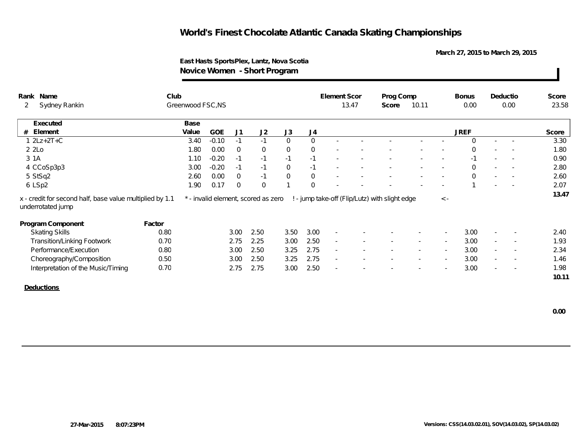**March 27, 2015 to March 29, 2015**

### **East Hasts SportsPlex, Lantz, Nova Scotia Novice Women - Short Program**

| Prog Comp<br>Sydney Rankin<br>Greenwood FSC, NS<br>13.47<br>10.11<br>2<br>Score<br>Executed<br>Base                                                                    | 0.00                                    | 0.00                               |       |
|------------------------------------------------------------------------------------------------------------------------------------------------------------------------|-----------------------------------------|------------------------------------|-------|
|                                                                                                                                                                        |                                         |                                    | 23.58 |
|                                                                                                                                                                        |                                         |                                    |       |
| J3<br>Element<br>Value<br><b>GOE</b><br>J1<br>J2<br>J4<br>#                                                                                                            | <b>JREF</b>                             |                                    | Score |
| $1 2Lz+2T+C$<br>$\Omega$<br>$\Omega$<br>$-0.10$<br>3.40<br>$-1$<br>$-1$                                                                                                | $\Omega$                                |                                    | 3.30  |
| $\overline{0}$<br>$\overline{0}$<br>22<br>1.80<br>0.00<br>$\overline{0}$<br>$\overline{0}$                                                                             | $\Omega$                                |                                    | 1.80  |
| 3 1 A<br>$-0.20$<br>$-1$<br>1.10<br>$-1$<br>$-1$<br>$-1$                                                                                                               | $-1$                                    | $\overline{\phantom{a}}$           | 0.90  |
| 4 CCoSp3p3<br>$-0.20$<br>$\overline{0}$<br>3.00<br>$-1$<br>$-1$<br>$-1$                                                                                                | $\Omega$<br>$\sim$                      | $\sim$<br>$\sim$                   | 2.80  |
| $\mathsf{O}$<br>5 StSq2<br>0.00<br>$\overline{0}$<br>2.60<br>$\overline{0}$<br>$-1$<br>$\overline{\phantom{a}}$                                                        | $\mathbf 0$<br>$\overline{\phantom{a}}$ | $\overline{\phantom{a}}$           | 2.60  |
| $\overline{0}$<br>1.90<br>0.17<br>$\overline{0}$<br>$\overline{0}$<br>6 LSp2                                                                                           | $\overline{\phantom{a}}$                |                                    | 2.07  |
| ! - jump take-off (Flip/Lutz) with slight edge<br>* - invalid element, scored as zero<br>x - credit for second half, base value multiplied by 1.1<br>underrotated jump | $\,<\,$ -                               |                                    | 13.47 |
| Program Component<br>Factor                                                                                                                                            |                                         |                                    |       |
| 2.50<br>3.00<br>0.80<br>3.00<br>3.50<br><b>Skating Skills</b>                                                                                                          | 3.00                                    | $\overline{\phantom{a}}$           | 2.40  |
| 0.70<br>2.50<br><b>Transition/Linking Footwork</b><br>2.75<br>2.25<br>3.00<br>$\sim$                                                                                   | 3.00                                    | $\sim$<br>$\overline{\phantom{a}}$ | 1.93  |
| Performance/Execution<br>0.80<br>3.00<br>2.50<br>3.25<br>2.75<br>$\sim$                                                                                                | 3.00<br>$\overline{\phantom{a}}$        | $\sim$<br>$\overline{\phantom{a}}$ | 2.34  |
| 2.75<br>Choreography/Composition<br>0.50<br>3.00<br>2.50<br>3.25<br>$\overline{\phantom{a}}$<br>$\sim$<br>$\overline{\phantom{a}}$<br>$\overline{\phantom{a}}$         | 3.00<br>$\overline{\phantom{a}}$        | $\sim$<br>$\sim$                   | 1.46  |
| 0.70<br>2.75<br>2.75<br>3.00<br>2.50<br>Interpretation of the Music/Timing<br>$\overline{\phantom{a}}$                                                                 | 3.00                                    | $\overline{\phantom{a}}$<br>$\sim$ | 1.98  |
|                                                                                                                                                                        |                                         |                                    | 10.11 |
| Deductions                                                                                                                                                             |                                         |                                    |       |
|                                                                                                                                                                        |                                         |                                    |       |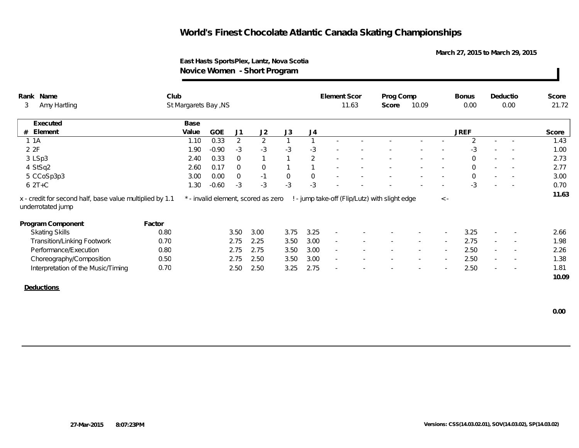**March 27, 2015 to March 29, 2015**

### **East Hasts SportsPlex, Lantz, Nova Scotia Novice Women - Short Program**

|   | Rank Name                                                                     | Club   |                      |         |                |                                     |              |              | Element Scor | Prog Comp                                      |       |                          | <b>Bonus</b>   | Deductio                 |                          | Score |
|---|-------------------------------------------------------------------------------|--------|----------------------|---------|----------------|-------------------------------------|--------------|--------------|--------------|------------------------------------------------|-------|--------------------------|----------------|--------------------------|--------------------------|-------|
| 3 | Amy Hartling                                                                  |        | St Margarets Bay, NS |         |                |                                     |              |              | 11.63        | Score                                          | 10.09 |                          | 0.00           |                          | 0.00                     | 21.72 |
|   | Executed                                                                      |        | Base                 |         |                |                                     |              |              |              |                                                |       |                          |                |                          |                          |       |
| # | Element                                                                       |        | Value                | GOE     | J <sub>1</sub> | J2                                  | J3           | J4           |              |                                                |       |                          | <b>JREF</b>    |                          |                          | Score |
|   | 1 1 A                                                                         |        | 1.10                 | 0.33    | $\overline{2}$ | $\overline{2}$                      | $\mathbf{1}$ | $\mathbf{1}$ |              |                                                |       |                          | $\mathfrak{D}$ | $\sim$                   |                          | 1.43  |
|   | 2 2F                                                                          |        | 1.90                 | $-0.90$ | $-3$           | $-3$                                | $-3$         | $-3$         |              |                                                |       |                          | $-3$           |                          |                          | 1.00  |
|   | 3 LSp3                                                                        |        | 2.40                 | 0.33    | $\overline{0}$ |                                     | $\mathbf{1}$ | 2            |              |                                                |       |                          | $\Omega$       |                          |                          | 2.73  |
|   | 4 StSq2                                                                       |        | 2.60                 | 0.17    | $\mathbf{0}$   | $\overline{0}$                      | $\mathbf{1}$ | $\mathbf{1}$ |              |                                                |       |                          | $\Omega$       |                          | $\sim$                   | 2.77  |
|   | 5 CCoSp3p3                                                                    |        | 3.00                 | 0.00    | $\mathbf 0$    | $-1$                                | $\mathsf{O}$ | $\mathsf{O}$ | $\sim$       |                                                |       | $\overline{\phantom{a}}$ | $\Omega$       |                          | $\sim$                   | 3.00  |
|   |                                                                               |        |                      |         |                |                                     |              |              |              |                                                |       |                          |                |                          |                          |       |
|   | $62T+C$                                                                       |        | 1.30                 | $-0.60$ | $-3$           | $-3$                                | $-3$         | $-3$         |              |                                                |       | $\overline{\phantom{a}}$ | $-3$           | $\overline{\phantom{a}}$ | $\overline{\phantom{a}}$ | 0.70  |
|   | x - credit for second half, base value multiplied by 1.1<br>underrotated jump |        |                      |         |                | * - invalid element, scored as zero |              |              |              | ! - jump take-off (Flip/Lutz) with slight edge |       | $\,<\,$ -                |                |                          |                          | 11.63 |
|   | Program Component                                                             | Factor |                      |         |                |                                     |              |              |              |                                                |       |                          |                |                          |                          |       |
|   | <b>Skating Skills</b>                                                         | 0.80   |                      |         | 3.50           | 3.00                                | 3.75         | 3.25         | $\sim$       |                                                |       |                          | 3.25           |                          | $\sim$                   | 2.66  |
|   | Transition/Linking Footwork                                                   | 0.70   |                      |         | 2.75           | 2.25                                | 3.50         | 3.00         | $\sim$       |                                                |       |                          | 2.75           | $\sim$                   | $\sim$                   | 1.98  |
|   | Performance/Execution                                                         | 0.80   |                      |         | 2.75           | 2.75                                | 3.50         | 3.00         | $\sim$       |                                                |       |                          | 2.50           | $\sim$                   |                          | 2.26  |
|   | Choreography/Composition                                                      | 0.50   |                      |         | 2.75           | 2.50                                | 3.50         | 3.00         | $\sim$       |                                                |       |                          | 2.50           |                          | $\overline{\phantom{a}}$ | 1.38  |
|   | Interpretation of the Music/Timing                                            | 0.70   |                      |         | 2.50           | 2.50                                | 3.25         | 2.75         | $\sim$       |                                                |       |                          | 2.50           | $\sim$                   |                          | 1.81  |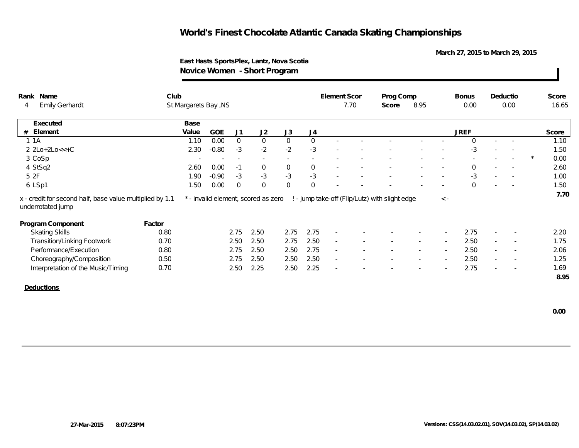**March 27, 2015 to March 29, 2015**

### **East Hasts SportsPlex, Lantz, Nova Scotia Novice Women - Short Program**

| Rank Name  |                                                                               | Club   |                      |            |                |                                     |                     |             | Element Scor             |      | Prog Comp                                      |        |                          | <b>Bonus</b>   |                          | Deductio                 | Score           |
|------------|-------------------------------------------------------------------------------|--------|----------------------|------------|----------------|-------------------------------------|---------------------|-------------|--------------------------|------|------------------------------------------------|--------|--------------------------|----------------|--------------------------|--------------------------|-----------------|
| 4          | <b>Emily Gerhardt</b>                                                         |        | St Margarets Bay, NS |            |                |                                     |                     |             |                          | 7.70 | Score                                          | 8.95   |                          | 0.00           |                          | 0.00                     | 16.65           |
|            | Executed                                                                      |        | Base                 |            |                |                                     |                     |             |                          |      |                                                |        |                          |                |                          |                          |                 |
| # Element  |                                                                               |        | Value                | <b>GOE</b> | J1             | J2                                  | J3                  | J4          |                          |      |                                                |        |                          | <b>JREF</b>    |                          |                          | Score           |
| 1 1 A      |                                                                               |        | 1.10                 | 0.00       | $\overline{0}$ | $\overline{0}$                      | $\overline{0}$      | $\mathbf 0$ |                          |      |                                                |        |                          | $\Omega$       |                          |                          | 1.10            |
|            | $2 2Lo+2Lo<<+C$                                                               |        | 2.30                 | $-0.80$    | $-3$           | $-2$                                | $-2$                | $-3$        |                          |      |                                                |        |                          | $-3$           |                          |                          | 1.50            |
| 3 CoSp     |                                                                               |        | $\sim$               | $\sim$     | $\sim$         | $\overline{\phantom{a}}$            | $\sim$              | $\sim$      |                          |      |                                                |        |                          |                |                          |                          | 0.00<br>$\star$ |
| 4 StSq2    |                                                                               |        | 2.60                 | 0.00       | $-1$           | $\overline{0}$                      | $\overline{0}$      | $\mathbf 0$ | $\sim$                   |      |                                                |        | $\sim$                   | $\overline{0}$ | $\sim$                   | $\sim$                   | 2.60            |
| 5 2F       |                                                                               |        | 1.90                 | $-0.90$    | $-3$           | $-3$                                | $-3$                | $-3$        | $\sim$                   |      |                                                |        | $\overline{\phantom{a}}$ | -3             |                          | $\sim$                   | 1.00            |
| 6 LSp1     |                                                                               |        | 1.50                 | 0.00       | $\overline{0}$ | $\mathbf 0$                         | $\mathsf{O}\xspace$ | $\mathbf 0$ |                          |      |                                                |        |                          | $\Omega$       |                          |                          | 1.50            |
|            | x - credit for second half, base value multiplied by 1.1<br>underrotated jump |        |                      |            |                | * - invalid element, scored as zero |                     |             |                          |      | ! - jump take-off (Flip/Lutz) with slight edge |        | $\,<\,$ -                |                |                          |                          | 7.70            |
|            | Program Component                                                             | Factor |                      |            |                |                                     |                     |             |                          |      |                                                |        |                          |                |                          |                          |                 |
|            | <b>Skating Skills</b>                                                         | 0.80   |                      |            | 2.75           | 2.50                                | 2.75                | 2.75        | $\sim$                   |      |                                                |        |                          | 2.75           |                          |                          | 2.20            |
|            | Transition/Linking Footwork                                                   | 0.70   |                      |            | 2.50           | 2.50                                | 2.75                | 2.50        | $\overline{\phantom{a}}$ |      | $\sim$                                         | $\sim$ | $\sim$                   | 2.50           | $\sim$                   | $\overline{\phantom{a}}$ | 1.75            |
|            | Performance/Execution                                                         | 0.80   |                      |            | 2.75           | 2.50                                | 2.50                | 2.75        | $\overline{\phantom{a}}$ |      |                                                |        | $\sim$                   | 2.50           | $\overline{\phantom{a}}$ |                          | 2.06            |
|            | Choreography/Composition                                                      | 0.50   |                      |            | 2.75           | 2.50                                | 2.50                | 2.50        | $\overline{\phantom{a}}$ |      |                                                | $\sim$ | $\sim$                   | 2.50           | $\sim$                   |                          | 1.25            |
|            | Interpretation of the Music/Timing                                            | 0.70   |                      |            | 2.50           | 2.25                                | 2.50                | 2.25        | $\overline{\phantom{a}}$ |      |                                                |        |                          | 2.75           |                          | $\overline{\phantom{a}}$ | 1.69            |
|            |                                                                               |        |                      |            |                |                                     |                     |             |                          |      |                                                |        |                          |                |                          |                          | 8.95            |
| Deductions |                                                                               |        |                      |            |                |                                     |                     |             |                          |      |                                                |        |                          |                |                          |                          |                 |
|            |                                                                               |        |                      |            |                |                                     |                     |             |                          |      |                                                |        |                          |                |                          |                          |                 |